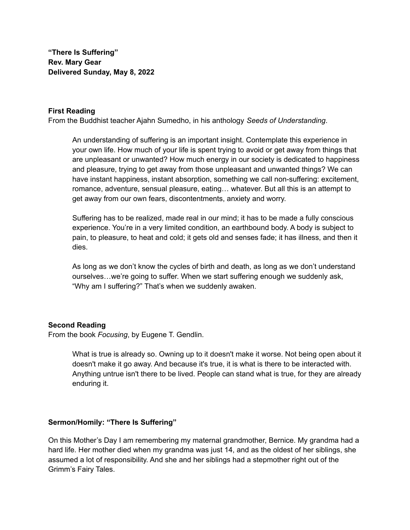**"There Is Suffering" Rev. Mary Gear Delivered Sunday, May 8, 2022**

## **First Reading**

From the Buddhist teacher Ajahn Sumedho, in his anthology *Seeds of Understanding*.

An understanding of suffering is an important insight. Contemplate this experience in your own life. How much of your life is spent trying to avoid or get away from things that are unpleasant or unwanted? How much energy in our society is dedicated to happiness and pleasure, trying to get away from those unpleasant and unwanted things? We can have instant happiness, instant absorption, something we call non-suffering: excitement, romance, adventure, sensual pleasure, eating… whatever. But all this is an attempt to get away from our own fears, discontentments, anxiety and worry.

Suffering has to be realized, made real in our mind; it has to be made a fully conscious experience. You're in a very limited condition, an earthbound body. A body is subject to pain, to pleasure, to heat and cold; it gets old and senses fade; it has illness, and then it dies.

As long as we don't know the cycles of birth and death, as long as we don't understand ourselves…we're going to suffer. When we start suffering enough we suddenly ask, "Why am I suffering?" That's when we suddenly awaken.

## **Second Reading**

From the book *Focusing*, by Eugene T. Gendlin.

What is true is already so. Owning up to it doesn't make it worse. Not being open about it doesn't make it go away. And because it's true, it is what is there to be interacted with. Anything untrue isn't there to be lived. People can stand what is true, for they are already enduring it.

## **Sermon/Homily: "There Is Suffering"**

On this Mother's Day I am remembering my maternal grandmother, Bernice. My grandma had a hard life. Her mother died when my grandma was just 14, and as the oldest of her siblings, she assumed a lot of responsibility. And she and her siblings had a stepmother right out of the Grimm's Fairy Tales.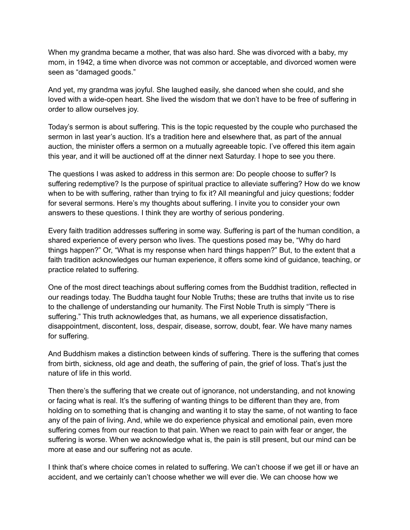When my grandma became a mother, that was also hard. She was divorced with a baby, my mom, in 1942, a time when divorce was not common or acceptable, and divorced women were seen as "damaged goods."

And yet, my grandma was joyful. She laughed easily, she danced when she could, and she loved with a wide-open heart. She lived the wisdom that we don't have to be free of suffering in order to allow ourselves joy.

Today's sermon is about suffering. This is the topic requested by the couple who purchased the sermon in last year's auction. It's a tradition here and elsewhere that, as part of the annual auction, the minister offers a sermon on a mutually agreeable topic. I've offered this item again this year, and it will be auctioned off at the dinner next Saturday. I hope to see you there.

The questions I was asked to address in this sermon are: Do people choose to suffer? Is suffering redemptive? Is the purpose of spiritual practice to alleviate suffering? How do we know when to be with suffering, rather than trying to fix it? All meaningful and juicy questions; fodder for several sermons. Here's my thoughts about suffering. I invite you to consider your own answers to these questions. I think they are worthy of serious pondering.

Every faith tradition addresses suffering in some way. Suffering is part of the human condition, a shared experience of every person who lives. The questions posed may be, "Why do hard things happen?" Or, "What is my response when hard things happen?" But, to the extent that a faith tradition acknowledges our human experience, it offers some kind of guidance, teaching, or practice related to suffering.

One of the most direct teachings about suffering comes from the Buddhist tradition, reflected in our readings today. The Buddha taught four Noble Truths; these are truths that invite us to rise to the challenge of understanding our humanity. The First Noble Truth is simply "There is suffering." This truth acknowledges that, as humans, we all experience dissatisfaction, disappointment, discontent, loss, despair, disease, sorrow, doubt, fear. We have many names for suffering.

And Buddhism makes a distinction between kinds of suffering. There is the suffering that comes from birth, sickness, old age and death, the suffering of pain, the grief of loss. That's just the nature of life in this world.

Then there's the suffering that we create out of ignorance, not understanding, and not knowing or facing what is real. It's the suffering of wanting things to be different than they are, from holding on to something that is changing and wanting it to stay the same, of not wanting to face any of the pain of living. And, while we do experience physical and emotional pain, even more suffering comes from our reaction to that pain. When we react to pain with fear or anger, the suffering is worse. When we acknowledge what is, the pain is still present, but our mind can be more at ease and our suffering not as acute.

I think that's where choice comes in related to suffering. We can't choose if we get ill or have an accident, and we certainly can't choose whether we will ever die. We can choose how we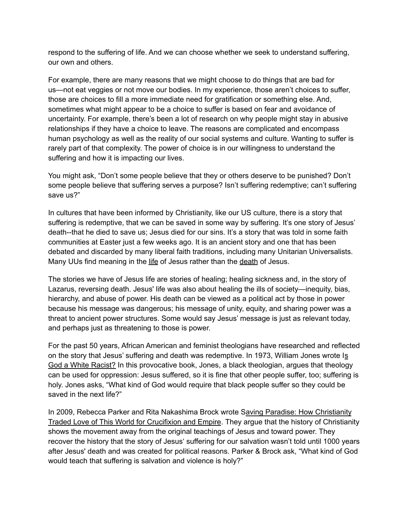respond to the suffering of life. And we can choose whether we seek to understand suffering, our own and others.

For example, there are many reasons that we might choose to do things that are bad for us—not eat veggies or not move our bodies. In my experience, those aren't choices to suffer, those are choices to fill a more immediate need for gratification or something else. And, sometimes what might appear to be a choice to suffer is based on fear and avoidance of uncertainty. For example, there's been a lot of research on why people might stay in abusive relationships if they have a choice to leave. The reasons are complicated and encompass human psychology as well as the reality of our social systems and culture. Wanting to suffer is rarely part of that complexity. The power of choice is in our willingness to understand the suffering and how it is impacting our lives.

You might ask, "Don't some people believe that they or others deserve to be punished? Don't some people believe that suffering serves a purpose? Isn't suffering redemptive; can't suffering save us?"

In cultures that have been informed by Christianity, like our US culture, there is a story that suffering is redemptive, that we can be saved in some way by suffering. It's one story of Jesus' death--that he died to save us; Jesus died for our sins. It's a story that was told in some faith communities at Easter just a few weeks ago. It is an ancient story and one that has been debated and discarded by many liberal faith traditions, including many Unitarian Universalists. Many UUs find meaning in the life of Jesus rather than the death of Jesus.

The stories we have of Jesus life are stories of healing; healing sickness and, in the story of Lazarus, reversing death. Jesus' life was also about healing the ills of society—inequity, bias, hierarchy, and abuse of power. His death can be viewed as a political act by those in power because his message was dangerous; his message of unity, equity, and sharing power was a threat to ancient power structures. Some would say Jesus' message is just as relevant today, and perhaps just as threatening to those is power.

For the past 50 years, African American and feminist theologians have researched and reflected on the story that Jesus' suffering and death was redemptive. In 1973, William Jones wrote Is God a White Racist? In this provocative book, Jones, a black theologian, argues that theology can be used for oppression: Jesus suffered, so it is fine that other people suffer, too; suffering is holy. Jones asks, "What kind of God would require that black people suffer so they could be saved in the next life?"

In 2009, Rebecca Parker and Rita Nakashima Brock wrote Saving Paradise: How Christianity Traded Love of This World for Crucifixion and Empire. They argue that the history of Christianity shows the movement away from the original teachings of Jesus and toward power. They recover the history that the story of Jesus' suffering for our salvation wasn't told until 1000 years after Jesus' death and was created for political reasons. Parker & Brock ask, "What kind of God would teach that suffering is salvation and violence is holy?"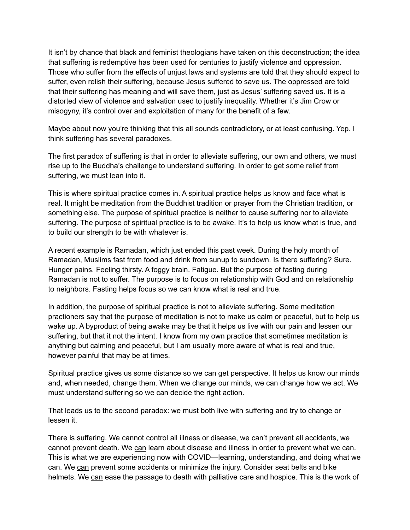It isn't by chance that black and feminist theologians have taken on this deconstruction; the idea that suffering is redemptive has been used for centuries to justify violence and oppression. Those who suffer from the effects of unjust laws and systems are told that they should expect to suffer, even relish their suffering, because Jesus suffered to save us. The oppressed are told that their suffering has meaning and will save them, just as Jesus' suffering saved us. It is a distorted view of violence and salvation used to justify inequality. Whether it's Jim Crow or misogyny, it's control over and exploitation of many for the benefit of a few.

Maybe about now you're thinking that this all sounds contradictory, or at least confusing. Yep. I think suffering has several paradoxes.

The first paradox of suffering is that in order to alleviate suffering, our own and others, we must rise up to the Buddha's challenge to understand suffering. In order to get some relief from suffering, we must lean into it.

This is where spiritual practice comes in. A spiritual practice helps us know and face what is real. It might be meditation from the Buddhist tradition or prayer from the Christian tradition, or something else. The purpose of spiritual practice is neither to cause suffering nor to alleviate suffering. The purpose of spiritual practice is to be awake. It's to help us know what is true, and to build our strength to be with whatever is.

A recent example is Ramadan, which just ended this past week. During the holy month of Ramadan, Muslims fast from food and drink from sunup to sundown. Is there suffering? Sure. Hunger pains. Feeling thirsty. A foggy brain. Fatigue. But the purpose of fasting during Ramadan is not to suffer. The purpose is to focus on relationship with God and on relationship to neighbors. Fasting helps focus so we can know what is real and true.

In addition, the purpose of spiritual practice is not to alleviate suffering. Some meditation practioners say that the purpose of meditation is not to make us calm or peaceful, but to help us wake up. A byproduct of being awake may be that it helps us live with our pain and lessen our suffering, but that it not the intent. I know from my own practice that sometimes meditation is anything but calming and peaceful, but I am usually more aware of what is real and true, however painful that may be at times.

Spiritual practice gives us some distance so we can get perspective. It helps us know our minds and, when needed, change them. When we change our minds, we can change how we act. We must understand suffering so we can decide the right action.

That leads us to the second paradox: we must both live with suffering and try to change or lessen it.

There is suffering. We cannot control all illness or disease, we can't prevent all accidents, we cannot prevent death. We can learn about disease and illness in order to prevent what we can. This is what we are experiencing now with COVID—learning, understanding, and doing what we can. We can prevent some accidents or minimize the injury. Consider seat belts and bike helmets. We can ease the passage to death with palliative care and hospice. This is the work of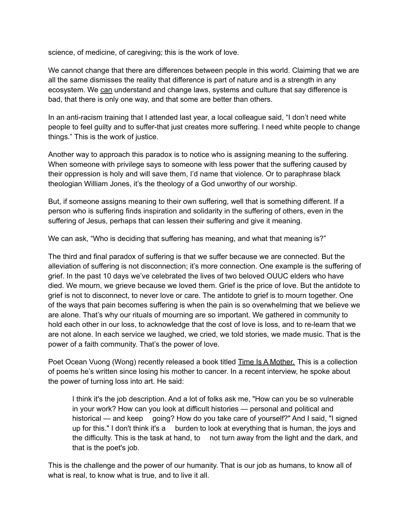science, of medicine, of caregiving; this is the work of love.

We cannot change that there are differences between people in this world. Claiming that we are all the same dismisses the reality that difference is part of nature and is a strength in any ecosystem. We can understand and change laws, systems and culture that say difference is bad, that there is only one way, and that some are better than others.

In an anti-racism training that I attended last year, a local colleague said, "I don't need white people to feel guilty and to suffer-that just creates more suffering. I need white people to change things." This is the work of justice.

Another way to approach this paradox is to notice who is assigning meaning to the suffering. When someone with privilege says to someone with less power that the suffering caused by their oppression is holy and will save them, I'd name that violence. Or to paraphrase black theologian William Jones, it's the theology of a God unworthy of our worship.

But, if someone assigns meaning to their own suffering, well that is something different. If a person who is suffering finds inspiration and solidarity in the suffering of others, even in the suffering of Jesus, perhaps that can lessen their suffering and give it meaning.

We can ask, "Who is deciding that suffering has meaning, and what that meaning is?"

The third and final paradox of suffering is that we suffer because we are connected. But the alleviation of suffering is not disconnection; it's more connection. One example is the suffering of grief. In the past 10 days we've celebrated the lives of two beloved OUUC elders who have died. We mourn, we grieve because we loved them. Grief is the price of love. But the antidote to grief is not to disconnect, to never love or care. The antidote to grief is to mourn together. One of the ways that pain becomes suffering is when the pain is so overwhelming that we believe we are alone. That's why our rituals of mourning are so important. We gathered in community to hold each other in our loss, to acknowledge that the cost of love is loss, and to re-learn that we are not alone. In each service we laughed, we cried, we told stories, we made music. That is the power of a faith community. That's the power of love.

Poet Ocean Vuong (Wong) recently released a book titled Time Is A Mother. This is a collection of poems he's written since losing his mother to cancer. In a recent interview, he spoke about the power of turning loss into art. He said:

I think it's the job description. And a lot of folks ask me, "How can you be so vulnerable in your work? How can you look at difficult histories — personal and political and historical — and keep going? How do you take care of yourself?" And I said, "I signed up for this." I don't think it's a burden to look at everything that is human, the joys and the difficulty. This is the task at hand, to not turn away from the light and the dark, and that is the poet's job.

This is the challenge and the power of our humanity. That is our job as humans, to know all of what is real, to know what is true, and to live it all.